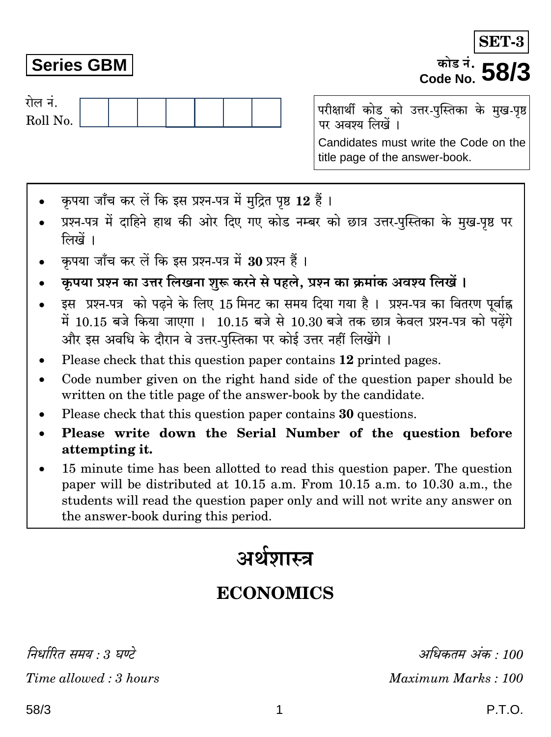निर्धारित ममय : २ घण्टे Time allowed: 3 hours

# **Series GBM**

रोल नं.

Roll No.

परीक्षार्थी कोड को उत्तर-पुस्तिका के मुख-पृष्ठ पर अवश्य लिखें । Candidates must write the Code on the title page of the answer-book.

- कपया जाँच कर लें कि इस प्रश्न-पत्र में मुद्रित पृष्ठ 12 हैं।
- प्रश्न-पत्र में दाहिने हाथ की ओर दिए गए कोड नम्बर को छात्र उत्तर-पुस्तिका के मुख-पृष्ठ पर लिखें ।
- कपया जाँच कर लें कि इस प्रश्न-पत्र में 30 प्रश्न हैं ।
- कृपया प्रश्न का उत्तर लिखना शुरू करने से पहले, प्रश्न का क्रमांक अवश्य लिखें ।
- इस प्रश्न-पत्र को पढ़ने के लिए 15 मिनट का समय दिया गया है। प्रश्न-पत्र का वितरण पर्वाह्न में 10.15 बजे किया जाएगा । 10.15 बजे से 10.30 बजे तक छात्र केवल प्रश्न-पत्र को पढ़ेंगे और इस अवधि के दौरान वे उत्तर-पस्तिका पर कोई उत्तर नहीं लिखेंगे ।
- Please check that this question paper contains 12 printed pages.
- Code number given on the right hand side of the question paper should be  $\bullet$ written on the title page of the answer-book by the candidate.
- Please check that this question paper contains 30 questions.
- Please write down the Serial Number of the question before attempting it.
- 15 minute time has been allotted to read this question paper. The question paper will be distributed at 10.15 a.m. From 10.15 a.m. to 10.30 a.m., the students will read the question paper only and will not write any answer on the answer-book during this period.

# अर्थशास्त्र

## **ECONOMICS**

अधिकतम अंक · 100 Maximum Marks: 100



कोड नं. Code No.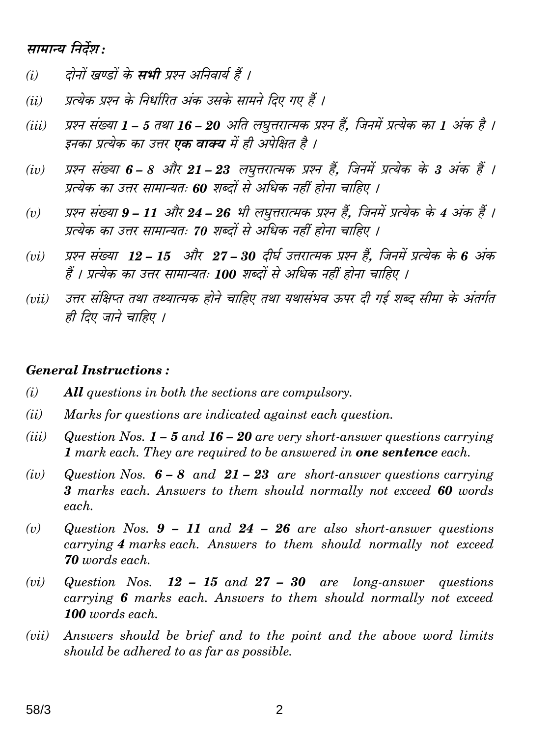### सामान्य निर्देश:

- दोनों खण्डों के **सभी** प्रश्न अनिवार्य हैं ।  $(i)$
- प्रत्येक प्रश्न के निर्धारित अंक उसके सामने दिए गए हैं ।  $(ii)$
- प्रश्न संख्या 1 5 तथा 16 20 अति लघृत्तरात्मक प्रश्न हैं. जिनमें प्रत्येक का 1 अंक है ।  $(iii)$ इनका प्रत्येक का उत्तर **एक वाक्य** में ही अपेक्षित है ।
- प्रश्न संख्या 6 8 और 21 23 लघुत्तरात्मक प्रश्न हैं, जिनमें प्रत्येक के 3 अंक हैं ।  $(iv)$ प्रत्येक का उत्तर सामान्यतः 60 शब्दों से अधिक नहीं होना चाहिए ।
- प्रश्न संख्या 9 11 और 24 26 भी लघुत्तरात्मक प्रश्न हैं, जिनमें प्रत्येक के 4 अंक हैं ।  $(v)$ प्रत्येक का उत्तर सामान्यतः 70 शब्दों से अधिक नहीं होना चाहिए ।
- प्रश्न संख्या 12 15 और 27 30 दीर्घ उत्तरात्मक प्रश्न हैं. जिनमें प्रत्येक के 6 अंक  $(vi)$ हैं । प्रत्येक का उत्तर सामान्यतः 100 शब्दों से अधिक नहीं होना चाहिए ।
- उत्तर संक्षिप्त तथा तथ्यात्मक होने चाहिए तथा यथासंभव ऊपर दी गई शब्द सीमा के अंतर्गत  $(iii)$ ही दिए जाने चाहिए ।

#### **General Instructions:**

- $(i)$ **All** questions in both the sections are compulsory.
- $(ii)$ Marks for questions are indicated against each question.
- $(iii)$ Question Nos.  $1 - 5$  and  $16 - 20$  are very short-answer questions carrying 1 mark each. They are required to be answered in **one sentence** each.
- $(iv)$ Question Nos.  $6-8$  and  $21-23$  are short-answer questions carrying 3 marks each. Answers to them should normally not exceed 60 words each.
- Question Nos.  $9 11$  and  $24 26$  are also short-answer questions  $(v)$ carrying 4 marks each. Answers to them should normally not exceed **70** words each.
- $(vi)$ Question Nos.  $12 - 15$  and  $27 - 30$  are long-answer questions carrying 6 marks each. Answers to them should normally not exceed 100 words each.
- Answers should be brief and to the point and the above word limits  $(vii)$ should be adhered to as far as possible.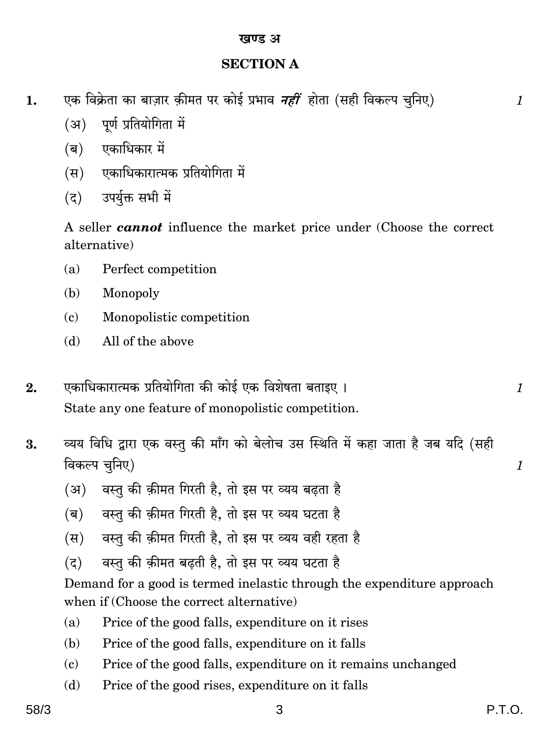#### **SECTION A**

- एक विक्रेता का बाज़ार क़ीमत पर कोई प्रभाव *नहीं* होता (सही विकल्प चुनिए) 1.
	- पूर्ण प्रतियोगिता में  $(3)$
	- (ब) एकाधिकार में
	- (स्र) एकाधिकारात्मक प्रतियोगिता में
	- उपर्युक्त सभी में  $(5)$

A seller *cannot* influence the market price under (Choose the correct alternative)

- $(a)$ Perfect competition
- Monopoly (b)
- Monopolistic competition  $\left( \mathbf{c} \right)$
- All of the above  $(h)$
- एकाधिकारात्मक प्रतियोगिता की कोई एक विशेषता बताइए ।  $2.$ State any one feature of monopolistic competition.
- व्यय विधि द्वारा एक वस्तु की माँग को बेलोच उस स्थिति में कहा जाता है जब यदि (सही 3. विकल्प चुनिए)
	- वस्तु की क़ीमत गिरती है, तो इस पर व्यय बढ़ता है (अ)
	- वस्तु की क़ीमत गिरती है. तो इस पर व्यय घटता है (ब)
	- वस्तु की क़ीमत गिरती है. तो इस पर व्यय वही रहता है  $(\overline{H})$
	- वस्तु की क़ीमत बढ़ती है, तो इस पर व्यय घटता है  $(5)$

Demand for a good is termed inelastic through the expenditure approach when if (Choose the correct alternative)

- Price of the good falls, expenditure on it rises  $(a)$
- Price of the good falls, expenditure on it falls (b)
- $(c)$ Price of the good falls, expenditure on it remains unchanged
- Price of the good rises, expenditure on it falls  $(d)$

 $\mathcal{I}$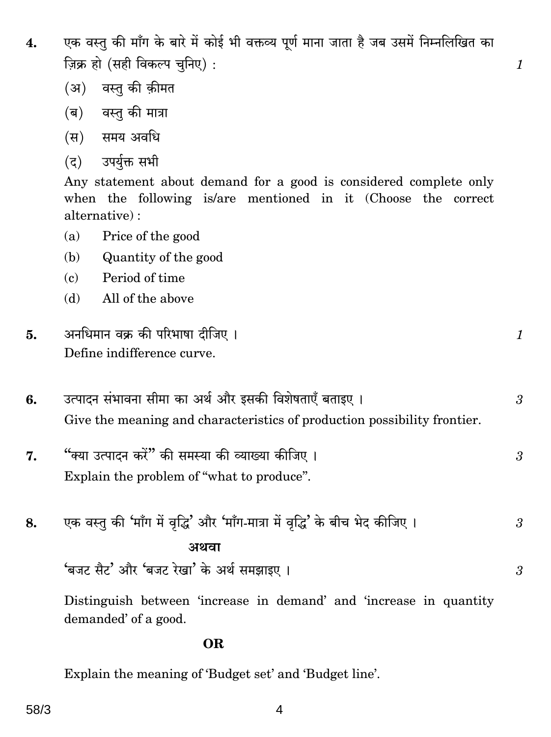एक वस्तु की माँग के बारे में कोई भी वक्तव्य पूर्ण माना जाता है जब उसमें निम्नलिखित का 4. ज़िक्र हो (सही विकल्प चनिए):

 $\mathcal{I}$ 

3

- (अ) वस्त की कीमत
- (ब) वस्त की मात्रा
- (स) समय अवधि
- उपर्युक्त सभी  $(5)$

Any statement about demand for a good is considered complete only when the following is/are mentioned in it (Choose the correct alternative):

- $(a)$ Price of the good
- Quantity of the good (b)
- Period of time  $\mathbf{c}$
- All of the above  $(d)$

| अनधिमान वक्र की परिभाषा दीजिए । |  |
|---------------------------------|--|
| Define indifference curve.      |  |

- उत्पादन संभावना सीमा का अर्थ और इसकी विशेषताएँ बताइए । 6. Give the meaning and characteristics of production possibility frontier.
- "क्या उत्पादन करें" की समस्या की व्याख्या कीजिए । 7. 3 Explain the problem of "what to produce".
- एक वस्तु की 'माँग में वृद्धि' और 'माँग-मात्रा में वृद्धि' के बीच भेद कीजिए । 8. 3 अथवा 'बजट सैट' और 'बजट रेखा' के अर्थ समझाइए।  $\overline{3}$

Distinguish between 'increase in demand' and 'increase in quantity demanded' of a good.

#### **OR**

Explain the meaning of 'Budget set' and 'Budget line'.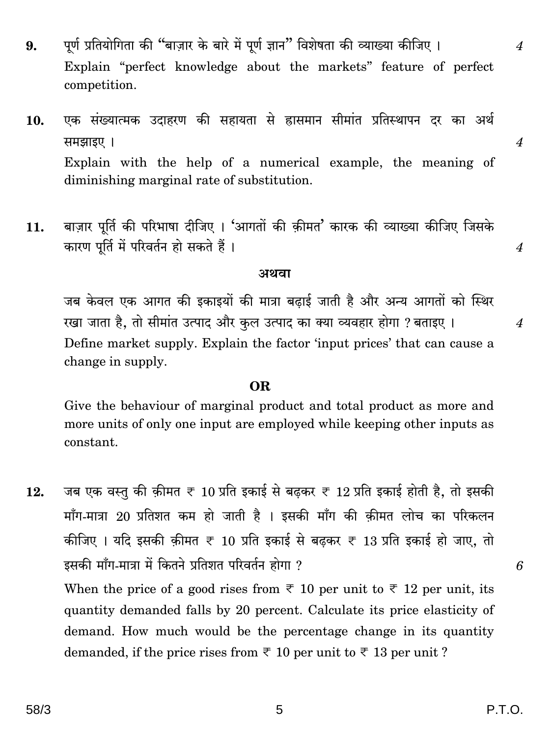- पूर्ण प्रतियोगिता की "बाज़ार के बारे में पूर्ण ज्ञान" विशेषता की व्याख्या कीजिए । 9. Explain "perfect knowledge about the markets" feature of perfect competition.
- एक संख्यात्मक उदाहरण की सहायता से ह्रासमान सीमांत प्रतिस्थापन दर का अर्थ 10. समझाइए । Explain with the help of a numerical example, the meaning of diminishing marginal rate of substitution.
- बाज़ार पूर्ति की परिभाषा दीजिए । 'आगतों की क़ीमत' कारक की व्याख्या कीजिए जिसके 11. कारण पूर्ति में परिवर्तन हो सकते हैं।

#### अथवा

जब केवल एक आगत की इकाइयों की मात्रा बढाई जाती है और अन्य आगतों को स्थिर रखा जाता है, तो सीमांत उत्पाद और कुल उत्पाद का क्या व्यवहार होगा ? बताइए । Define market supply. Explain the factor 'input prices' that can cause a change in supply.

#### OR.

Give the behaviour of marginal product and total product as more and more units of only one input are employed while keeping other inputs as constant.

जब एक वस्तु की क़ीमत ₹ 10 प्रति इकाई से बढ़कर ₹ 12 प्रति इकाई होती है, तो इसकी 12. माँग-मात्रा 20 प्रतिशत कम हो जाती है । इसकी माँग की कीमत लोच का परिकलन कीजिए । यदि इसकी क़ीमत ₹ 10 प्रति इकाई से बढ़कर ₹ 13 प्रति इकाई हो जाए, तो इसकी माँग-मात्रा में कितने प्रतिशत परिवर्तन होगा ?

When the price of a good rises from  $\overline{\tau}$  10 per unit to  $\overline{\tau}$  12 per unit, its quantity demanded falls by 20 percent. Calculate its price elasticity of demand. How much would be the percentage change in its quantity demanded, if the price rises from  $\overline{\xi}$  10 per unit to  $\overline{\xi}$  13 per unit?

6

 $\boldsymbol{\mathcal{A}}$ 

 $\overline{4}$ 

 $\overline{4}$ 

 $\boldsymbol{4}$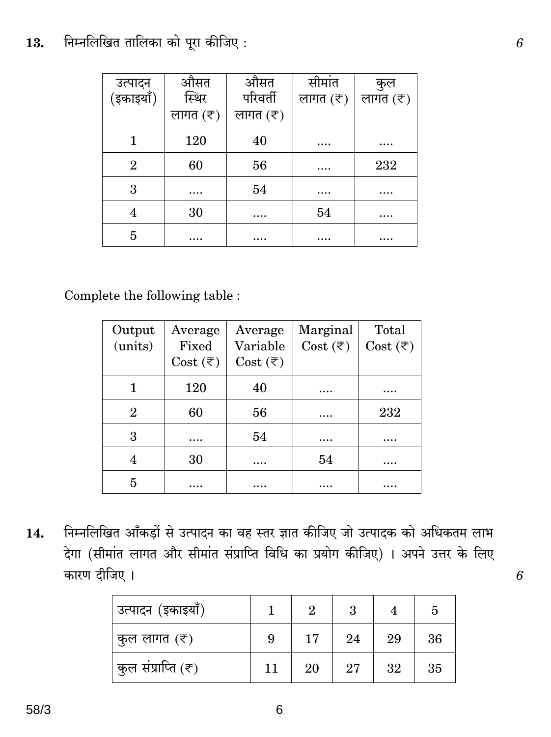#### निम्नलिखित तालिका को पूरा कीजिए: 13.

| उत्पादन        | औसत                 | औसत                 | सीमांत              | कुल                 |
|----------------|---------------------|---------------------|---------------------|---------------------|
| (इकाइयाँ)      | स्थिर               | परिवर्ती            | लागत $(\bar{\tau})$ | लागत $(\bar{\tau})$ |
|                | लागत $(\bar{\tau})$ | लागत $(\bar{\tau})$ |                     |                     |
|                | 120                 | 40                  | $\cdots$            | .                   |
| $\overline{2}$ | 60                  | 56                  | $\cdots$            | 232                 |
| 3              | .                   | 54                  | .                   |                     |
| 4              | 30                  | $\cdots$            | 54                  |                     |
| 5              | .                   | $\cdots$            | .                   | .                   |

Complete the following table :

| Output  | Average                  | Average                  | Marginal                 | Total                    |
|---------|--------------------------|--------------------------|--------------------------|--------------------------|
| (units) | Fixed                    | Variable                 | Cost $(\overline{\tau})$ | Cost $(\overline{\tau})$ |
|         | Cost $(\overline{\tau})$ | Cost $(\overline{\tau})$ |                          |                          |
|         | 120                      | 40                       |                          |                          |
| 2       | 60                       | 56                       |                          | 232                      |
| 3       |                          | 54                       |                          | $\cdots$                 |
|         | 30                       | $\cdots$                 | 54                       | .                        |
| 5       | .                        | .                        |                          |                          |

निम्नलिखित आँकड़ों से उत्पादन का वह स्तर ज्ञात कीजिए जो उत्पादक को अधिकतम लाभ 14. देगा (सीमांत लागत और सीमांत संप्राप्ति विधि का प्रयोग कीजिए) । अपने उत्तर के लिए कारण दीजिए ।

| उत्पादन (इकाइयाँ)  |    | $\overline{2}$ | 3  |    | 5  |
|--------------------|----|----------------|----|----|----|
| कुल लागत (₹)       | 9  | 17             | 24 | 29 | 36 |
| कुल संप्राप्ति (₹) | 11 | 20             | 27 | 32 | 35 |

 $\boldsymbol{6}$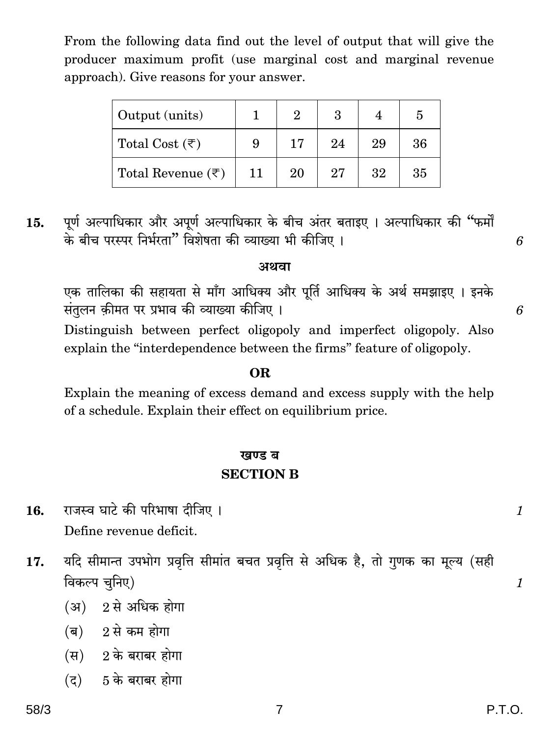| Output (units)                    |    |    |    |    |    |
|-----------------------------------|----|----|----|----|----|
| Total Cost $(\overline{\tau})$    | 9  | 17 | 24 | 29 | 36 |
| Total Revenue $(\overline{\tau})$ | 11 | 20 | 27 | 32 | 35 |

From the following data find out the level of output that will give the

पूर्ण अल्पाधिकार और अपूर्ण अल्पाधिकार के बीच अंतर बताइए । अल्पाधिकार की "फर्मों 15. के बीच परस्पर निर्भरता" विशेषता की व्याख्या भी कीजिए।

#### अथवा

एक तालिका की सहायता से माँग आधिक्य और पूर्ति आधिक्य के अर्थ समझाइए । इनके संतुलन क़ीमत पर प्रभाव की व्याख्या कीजिए ।

Distinguish between perfect oligopoly and imperfect oligopoly. Also explain the "interdependence between the firms" feature of oligopoly.

#### OR.

Explain the meaning of excess demand and excess supply with the help of a schedule. Explain their effect on equilibrium price.

## खण्ड ब **SECTION B**

- राजस्व घाटे की परिभाषा दीजिए । 16. Define revenue deficit.
- यदि सीमान्त उपभोग प्रवृत्ति सीमांत बचत प्रवृत्ति से अधिक है, तो गुणक का मूल्य (सही 17. विकल्प चुनिए)
	- $(31)$  2 से अधिक होगा
	- $(a)$  2 से कम होगा
	- $(H)$  2 के बराबर होगा
	- $(5, 5)$   $(5, 6)$  बराबर होगा

 $\mathcal{I}$ 

 $\mathcal{I}$ 

6

6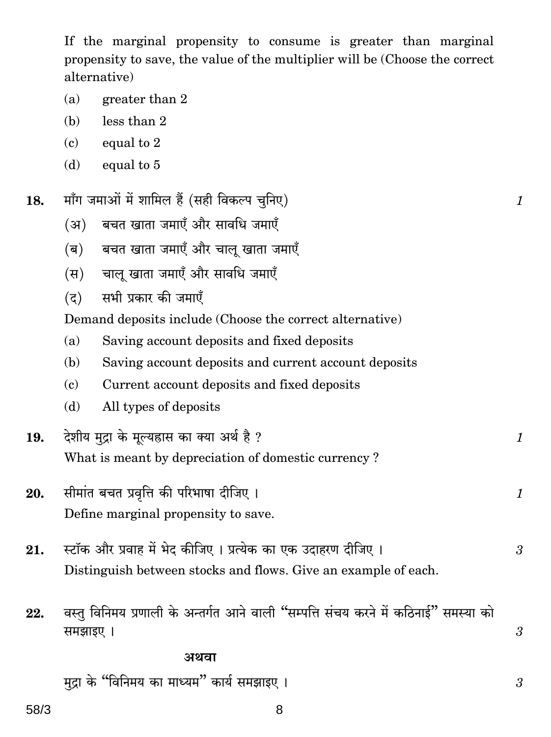If the marginal propensity to consume is greater than marginal propensity to save, the value of the multiplier will be (Choose the correct alternative)

 $\mathcal{I}_{\mathcal{L}}$ 

 $\mathbf{1}$ 

 $\mathcal{I}_{\mathcal{L}}$ 

 $\overline{3}$ 

 $\boldsymbol{\beta}$ 

 $\mathfrak{z}$ 

- $(a)$ greater than 2
- $less than 2$  $(h)$
- equal to 2  $(c)$
- equal to 5  $(d)$
- माँग जमाओं में शामिल हैं (सही विकल्प चुनिए) 18.
	- बचत खाता जमाएँ और सावधि जमाएँ  $(3)$
	- बचत खाता जमाएँ और चालु खाता जमाएँ  $(\overline{\mathbf{q}})$
	- चालू खाता जमाएँ और सावधि जमाएँ  $(\overline{H})$
	- सभी प्रकार की जमाएँ  $(5)$

Demand deposits include (Choose the correct alternative)

- Saving account deposits and fixed deposits  $(a)$
- Saving account deposits and current account deposits (b)
- $\epsilon$ ) Current account deposits and fixed deposits
- All types of deposits (d)
- देशीय मदा के मल्यह्रास का क्या अर्थ है ? 19. What is meant by depreciation of domestic currency?
- सीमांत बचत प्रवृत्ति की परिभाषा दीजिए। 20. Define marginal propensity to save.
- स्टॉक और प्रवाह में भेद कीजिए । प्रत्येक का एक उदाहरण दीजिए । 21. Distinguish between stocks and flows. Give an example of each.
- वस्तु विनिमय प्रणाली के अन्तर्गत आने वाली "सम्पत्ति संचय करने में कठिनाई" समस्या को 22. समझाइए ।

#### अथवा

मदा के "विनिमय का माध्यम" कार्य समझाइए।

58/3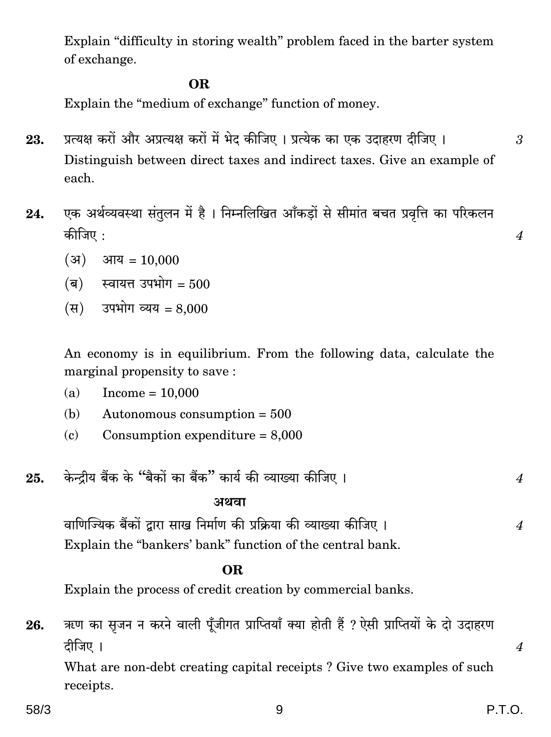Explain "difficulty in storing wealth" problem faced in the barter system of exchange.

#### **OR**

Explain the "medium of exchange" function of money.

- प्रत्यक्ष करों और अप्रत्यक्ष करों में भेद कीजिए । प्रत्येक का एक उदाहरण दीजिए । 23. Distinguish between direct taxes and indirect taxes. Give an example of each.
- एक अर्थव्यवस्था संतुलन में है। निम्नलिखित आँकडों से सीमांत बचत प्रवृत्ति का परिकलन 24. कीजिए :
	- $(3)$ आय =  $10,000$
	- (ब) स्वायत्त उपभोग = 500
	- (स) उपभोग व्यय =  $8.000$

An economy is in equilibrium. From the following data, calculate the marginal propensity to save:

- $(a)$  $Income = 10,000$
- Autonomous consumption  $= 500$ (b)
- Consumption expenditure  $= 8,000$  $\mathbf{(c)}$
- केन्द्रीय बैंक के "बैकों का बैंक" कार्य की व्याख्या कीजिए । 25.

#### अथवा

वाणिज्यिक बैंकों द्वारा साख निर्माण की प्रक्रिया की व्याख्या कीजिए ।  $\overline{4}$ Explain the "bankers' bank" function of the central bank.

#### OR.

Explain the process of credit creation by commercial banks.

ऋण का सजन न करने वाली पूँजीगत प्राप्तियाँ क्या होती हैं ? ऐसी प्राप्तियों के दो उदाहरण 26. दीजिए ।

What are non-debt creating capital receipts? Give two examples of such receipts.

 $\overline{4}$ 

3

 $\overline{4}$ 

 $\boldsymbol{4}$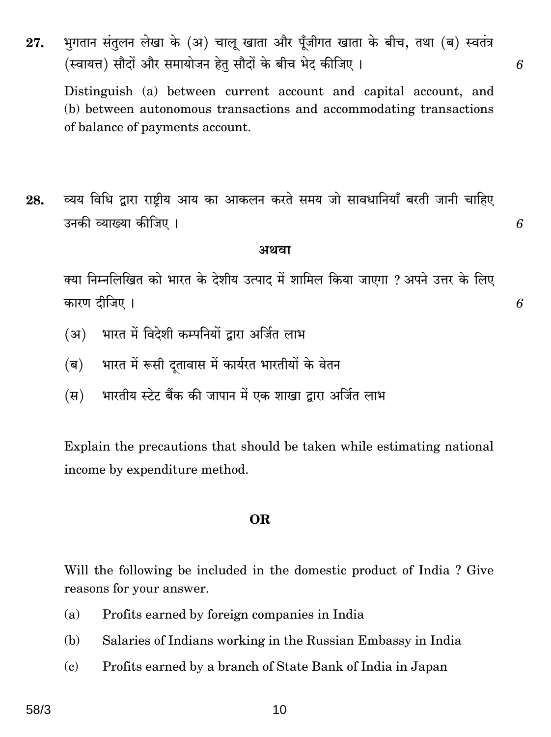भुगतान संतुलन लेखा के (अ) चालू खाता और पूँजीगत खाता के बीच, तथा (ब) स्वतंत्र 27. (स्वायत्त) सौदों और समायोजन हेतु सौदों के बीच भेद कीजिए ।

Distinguish (a) between current account and capital account, and (b) between autonomous transactions and accommodating transactions of balance of payments account.

व्यय विधि द्वारा राष्ट्रीय आय का आकलन करते समय जो सावधानियाँ बरती जानी चाहिए 28. उनकी व्याख्या कीजिए ।

#### अथवा

क्या निम्नलिखित को भारत के देशीय उत्पाद में शामिल किया जाएगा ? अपने उत्तर के लिए कारण दीजिए ।

- भारत में विदेशी कम्पनियों द्वारा अर्जित लाभ (अ)
- भारत में रूसी दतावास में कार्यरत भारतीयों के वेतन  $(\overline{\mathsf{q}})$
- भारतीय स्टेट बैंक की जापान में एक शाखा द्वारा अर्जित लाभ  $(\overline{\mathbf{H}})$

Explain the precautions that should be taken while estimating national income by expenditure method.

#### **OR**

Will the following be included in the domestic product of India? Give reasons for your answer.

- Profits earned by foreign companies in India (a)
- Salaries of Indians working in the Russian Embassy in India (b)
- $\epsilon$ Profits earned by a branch of State Bank of India in Japan

6

6

6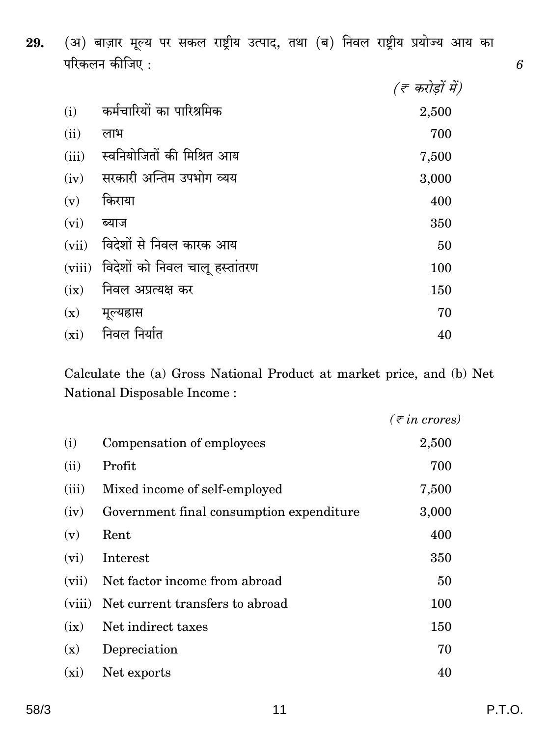(अ) बाज़ार मूल्य पर सकल राष्ट्रीय उत्पाद, तथा (ब) निवल राष्ट्रीय प्रयोज्य आय का 29. परिकलन कीजिए :

|        |                                | (रू करोड़ों में) |
|--------|--------------------------------|------------------|
| (i)    | कर्मचारियों का पारिश्रमिक      | 2,500            |
| (ii)   | लाभ                            | 700              |
| (iii)  | स्वनियोजितों की मिश्रित आय     | 7,500            |
| (iv)   | सरकारी अन्तिम उपभोग व्यय       | 3,000            |
| (v)    | किराया                         | 400              |
| (vi)   | ब्याज                          | 350              |
| (vii)  | विदेशों से निवल कारक आय        | 50               |
| (viii) | विदेशों को निवल चालू हस्तांतरण | 100              |
| (ix)   | निवल अप्रत्यक्ष कर             | 150              |
| (x)    | मूल्यहास                       | 70               |
| (xi)   | निवल निर्यात                   | 40               |

Calculate the (a) Gross National Product at market price, and (b) Net National Disposable Income:

|        |                                          | $(\bar{\tau}$ in crores) |
|--------|------------------------------------------|--------------------------|
| (i)    | Compensation of employees                | 2,500                    |
| (ii)   | Profit                                   | 700                      |
| (iii)  | Mixed income of self-employed            | 7,500                    |
| (iv)   | Government final consumption expenditure | 3,000                    |
| (v)    | Rent                                     | 400                      |
| (vi)   | Interest                                 | 350                      |
| (vii)  | Net factor income from abroad            | 50                       |
| (viii) | Net current transfers to abroad          | 100                      |
| (ix)   | Net indirect taxes                       | 150                      |
| (x)    | Depreciation                             | 70                       |
| (xi)   | Net exports                              | 40                       |

P.T.O.

 $\ddot{6}$